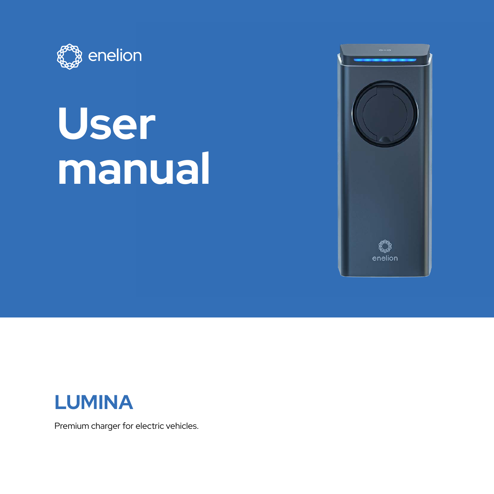

# **User manual**





Premium charger for electric vehicles.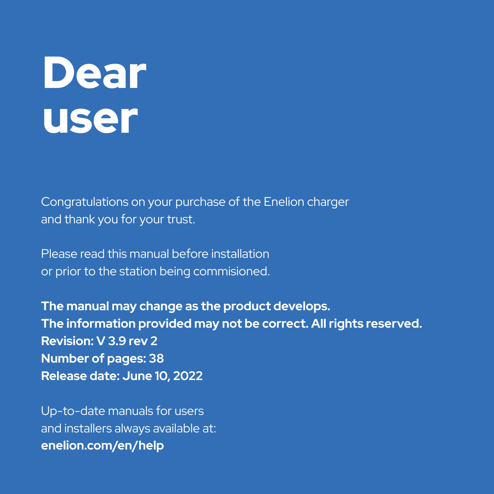# Dear user

Congratulations on your purchase of the Enelion charger and thank you for your trust.

Please read this manual before installation or prior to the station being commisioned.

**The manual may change as the product develops. The information provided may not be correct. All rights reserved. Revision: V 3.9 rev 2 Number of pages: 38 Release date: June 10, 2022**

Up-to-date manuals for users and installers always available at: **enelion.com/en/help**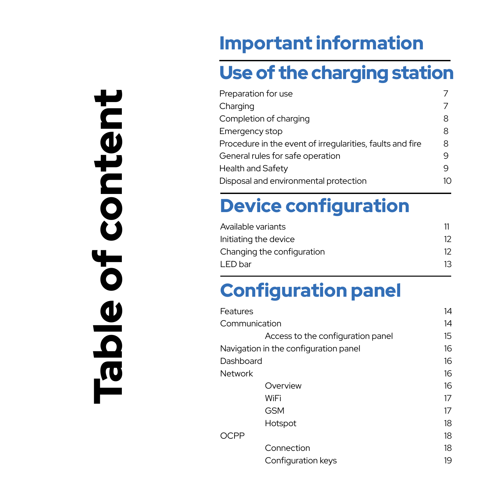# Table of content content  $\overline{\mathbf{b}}$ Table

### Important information

### Use of the charging station

| Preparation for use                                       |    |
|-----------------------------------------------------------|----|
| Charging                                                  |    |
| Completion of charging                                    | 8  |
| Emergency stop                                            | 8  |
| Procedure in the event of irregularities, faults and fire | 8  |
| General rules for safe operation                          | q  |
| Health and Safety                                         | q  |
| Disposal and environmental protection                     | 10 |
|                                                           |    |

### Device configuration

| Available variants         |    |
|----------------------------|----|
| Initiating the device      | 12 |
| Changing the configuration | 12 |
| LED bar                    | 13 |
|                            |    |

### Configuration panel

| Features      |                                       | 14 |
|---------------|---------------------------------------|----|
| Communication |                                       | 14 |
|               | Access to the configuration panel     | 15 |
|               | Navigation in the configuration panel | 16 |
| Dashboard     |                                       | 16 |
| Network       |                                       | 16 |
|               | Overview                              | 16 |
|               | WiFi                                  | 17 |
|               | <b>GSM</b>                            | 17 |
|               | Hotspot                               | 18 |
| OCPP          |                                       | 18 |
|               | Connection                            | 18 |
|               | Configuration keys                    | 19 |
|               |                                       |    |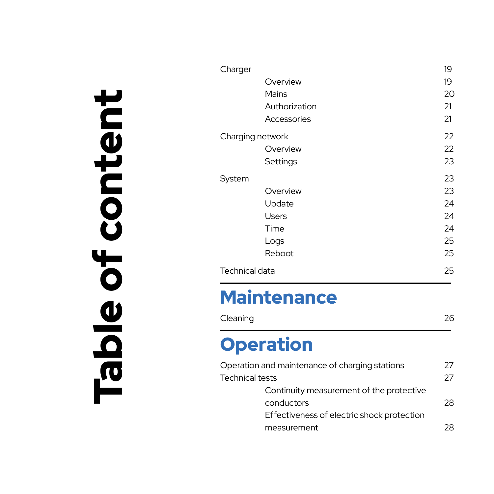| μ                        |
|--------------------------|
|                          |
| $\blacksquare$           |
| $\boldsymbol{\bar \Phi}$ |
| Ĕ                        |
|                          |
| C                        |
| $\mathbf O$              |
| Ŭ                        |
|                          |
| $\overline{\mathbf{r}}$  |
|                          |
| $\mathbf O$              |
|                          |
| Ø                        |
|                          |
| Q                        |
|                          |
| <b>P</b>                 |
|                          |

| Charger          |               | 19 |
|------------------|---------------|----|
|                  | Overview      | 19 |
|                  | Mains         | 20 |
|                  | Authorization | 21 |
|                  | Accessories   | 21 |
| Charging network |               | 22 |
|                  | Overview      | 22 |
|                  | Settings      | 23 |
| System           |               | 23 |
|                  | Overview      | 23 |
|                  | Update        | 24 |
|                  | <b>Users</b>  | 24 |
|                  | Time          | 24 |
|                  | Logs          | 25 |
|                  | Reboot        | 25 |
| Technical data   |               | 25 |

### **Maintenance**

| Cleaning | 26 |
|----------|----|
|----------|----|

### **Operation**

| Operation and maintenance of charging stations | 27 |
|------------------------------------------------|----|
| <b>Technical tests</b>                         | 27 |
| Continuity measurement of the protective       |    |
| conductors                                     | 28 |
| Effectiveness of electric shock protection     |    |
| measurement                                    | 28 |
|                                                |    |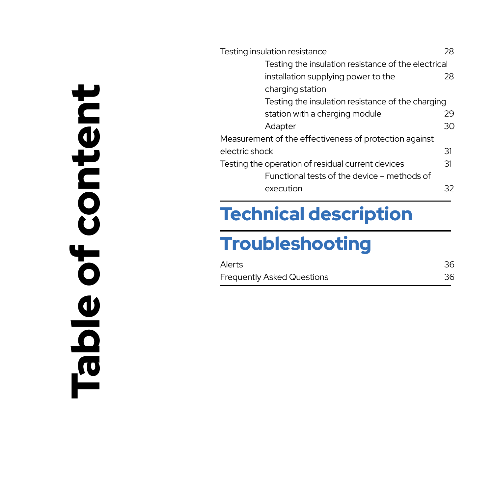| ŀ                                   |
|-------------------------------------|
| Ξ                                   |
| C<br>Ø                              |
| Ě<br>٦                              |
| $\blacksquare$                      |
|                                     |
| $\mathbf O$<br>Ŭ                    |
|                                     |
| ŀ,                                  |
| $\mathbf 0$                         |
| Ø                                   |
|                                     |
|                                     |
| $\mathbf \Omega$                    |
| $\boldsymbol{\tilde{\mathfrak{g}}}$ |

| Testing insulation resistance                          | 28 |
|--------------------------------------------------------|----|
| Testing the insulation resistance of the electrical    |    |
| installation supplying power to the                    | 28 |
| charging station                                       |    |
| Testing the insulation resistance of the charging      |    |
| station with a charging module                         | 29 |
| Adapter                                                | 30 |
| Measurement of the effectiveness of protection against |    |
| electric shock                                         | 31 |
| Testing the operation of residual current devices      | 31 |
| Functional tests of the device – methods of            |    |
| execution                                              | 32 |

### Technical description

### **Troubleshooting**

| Alerts                     | 36 |
|----------------------------|----|
| Frequently Asked Questions | 36 |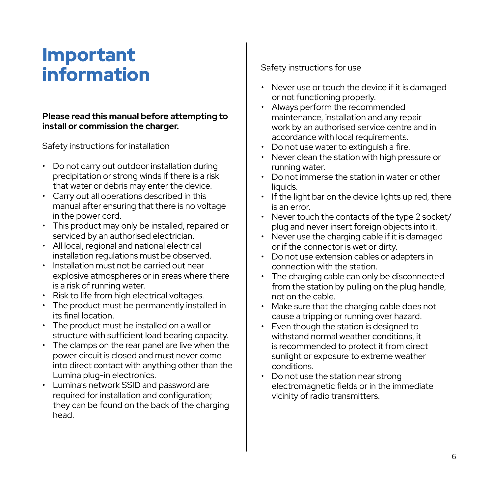### Important information

#### **Please read this manual before attempting to install or commission the charger.**

#### Safety instructions for installation

- Do not carry out outdoor installation during precipitation or strong winds if there is a risk that water or debris may enter the device.
- Carry out all operations described in this manual after ensuring that there is no voltage in the power cord.
- This product may only be installed, repaired or serviced by an authorised electrician.
- All local, regional and national electrical installation regulations must be observed.
- Installation must not be carried out near explosive atmospheres or in areas where there is a risk of running water.
- Risk to life from high electrical voltages.
- The product must be permanently installed in its final location.
- The product must be installed on a wall or structure with sufficient load bearing capacity.
- The clamps on the rear panel are live when the power circuit is closed and must never come into direct contact with anything other than the Lumina plug-in electronics.
- Lumina's network SSID and password are required for installation and configuration; they can be found on the back of the charging head.

#### Safety instructions for use

- Never use or touch the device if it is damaged or not functioning properly.
- Always perform the recommended maintenance, installation and any repair work by an authorised service centre and in accordance with local requirements.
- Do not use water to extinguish a fire.
- Never clean the station with high pressure or running water.
- Do not immerse the station in water or other liquids.
- If the light bar on the device lights up red, there is an error.
- Never touch the contacts of the type 2 socket/ plug and never insert foreign objects into it.
- Never use the charging cable if it is damaged or if the connector is wet or dirty.
- Do not use extension cables or adapters in connection with the station.
- The charging cable can only be disconnected from the station by pulling on the plug handle, not on the cable.
- Make sure that the charging cable does not cause a tripping or running over hazard.
- Even though the station is designed to withstand normal weather conditions, it is recommended to protect it from direct sunlight or exposure to extreme weather conditions.
- Do not use the station near strong electromagnetic fields or in the immediate vicinity of radio transmitters.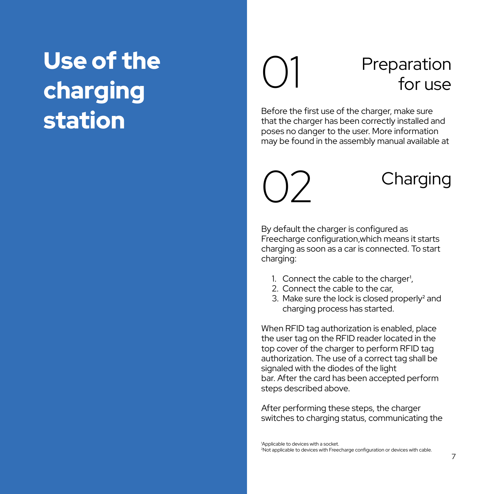### Use of the charging station

# Preparation<br>for use

Before the first use of the charger, make sure that the charger has been correctly installed and poses no danger to the user. More information may be found in the assembly manual available at

### $\bigcap$  Charging

By default the charger is configured as Freecharge configuration,which means it starts charging as soon as a car is connected. To start charging:

- 1. Connect the cable to the charger
- 2. Connect the cable to the car,
- 3. Make sure the lock is closed properly² and charging process has started.

When RFID tag authorization is enabled, place the user tag on the RFID reader located in the top cover of the charger to perform RFID tag authorization. The use of a correct tag shall be signaled with the diodes of the light bar. After the card has been accepted perform steps described above.

After performing these steps, the charger switches to charging status, communicating the

1 Applicable to devices with a socket. 2 Not applicable to devices with Freecharge configuration or devices with cable.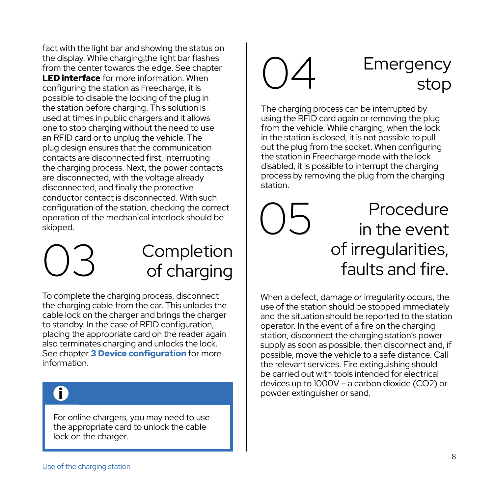fact with the light bar and showing the status on the display. While charging,the light bar flashes from the center towards the edge. See chapter **LED interface** for more information. When configuring the station as Freecharge, it is possible to disable the locking of the plug in the station before charging. This solution is used at times in public chargers and it allows one to stop charging without the need to use an RFID card or to unplug the vehicle. The plug design ensures that the communication contacts are disconnected first, interrupting the charging process. Next, the power contacts are disconnected, with the voltage already disconnected, and finally the protective conductor contact is disconnected. With such configuration of the station, checking the correct operation of the mechanical interlock should be skipped.

03

### **Completion** of charging

To complete the charging process, disconnect the charging cable from the car. This unlocks the cable lock on the charger and brings the charger to standby. In the case of RFID configuration, placing the appropriate card on the reader again also terminates charging and unlocks the lock. See chapter 3 Device configuration for more information.

### i

For online chargers, you may need to use the appropriate card to unlock the cable lock on the charger.

#### 04 **Emergency** stop

The charging process can be interrupted by using the RFID card again or removing the plug from the vehicle. While charging, when the lock in the station is closed, it is not possible to pull out the plug from the socket. When configuring the station in Freecharge mode with the lock disabled, it is possible to interrupt the charging process by removing the plug from the charging station.

#### 05 **Procedure** in the event of irregularities, faults and fire.

When a defect, damage or irregularity occurs, the use of the station should be stopped immediately and the situation should be reported to the station operator. In the event of a fire on the charging station, disconnect the charging station's power supply as soon as possible, then disconnect and, if possible, move the vehicle to a safe distance. Call the relevant services. Fire extinguishing should be carried out with tools intended for electrical devices up to 1000V – a carbon dioxide (CO2) or powder extinguisher or sand.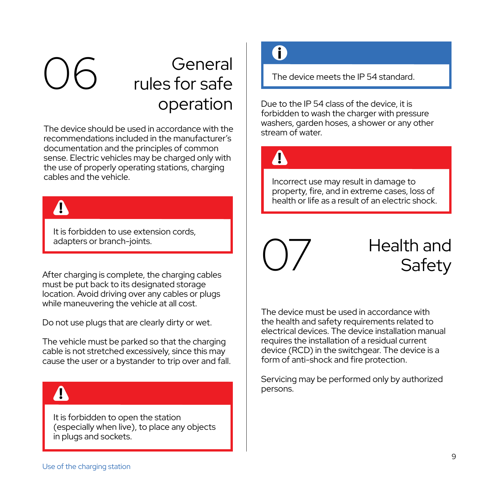#### 06 General rules for safe operation

The device should be used in accordance with the recommendations included in the manufacturer's documentation and the principles of common sense. Electric vehicles may be charged only with the use of properly operating stations, charging cables and the vehicle.

It is forbidden to use extension cords, adapters or branch-joints.

After charging is complete, the charging cables must be put back to its designated storage location. Avoid driving over any cables or plugs while maneuvering the vehicle at all cost.

Do not use plugs that are clearly dirty or wet.

The vehicle must be parked so that the charging cable is not stretched excessively, since this may cause the user or a bystander to trip over and fall.

### $\blacktriangle$

It is forbidden to open the station (especially when live), to place any objects in plugs and sockets.

### i

The device meets the IP 54 standard.

Due to the IP 54 class of the device, it is forbidden to wash the charger with pressure washers, garden hoses, a shower or any other stream of water.



Incorrect use may result in damage to property, fire, and in extreme cases, loss of **health or life as a result of an electric shock. the althor life as a result of an electric shock.** 



### Health and **Safety**

The device must be used in accordance with the health and safety requirements related to electrical devices. The device installation manual requires the installation of a residual current device (RCD) in the switchgear. The device is a form of anti-shock and fire protection.

Servicing may be performed only by authorized persons.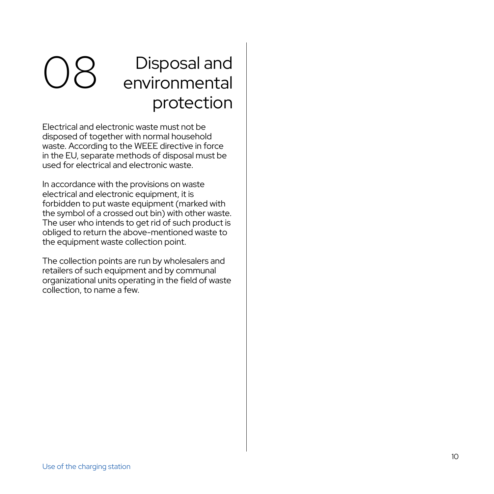### O8 Disposal and<br>
environmental protection

Electrical and electronic waste must not be disposed of together with normal household waste. According to the WEEE directive in force in the EU, separate methods of disposal must be used for electrical and electronic waste.

In accordance with the provisions on waste electrical and electronic equipment, it is forbidden to put waste equipment (marked with the symbol of a crossed out bin) with other waste. The user who intends to get rid of such product is obliged to return the above-mentioned waste to the equipment waste collection point.

The collection points are run by wholesalers and retailers of such equipment and by communal organizational units operating in the field of waste collection, to name a few.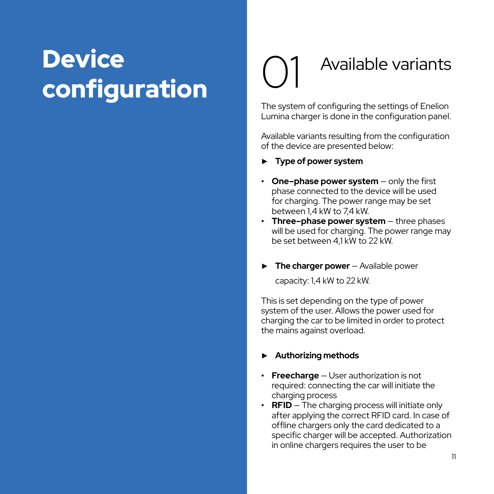### **Device** configuration

## Available variants

The system of configuring the settings of Enelion Lumina charger is done in the configuration panel.

Available variants resulting from the configuration of the device are presented below:

- ► **Type of power system**
- **• One–phase power system** only the first phase connected to the device will be used for charging. The power range may be set between 1,4 kW to 7,4 kW.
- **• Three–phase power system** three phases will be used for charging. The power range may be set between 41 kW to 22 kW
- ► **The charger power** Available power capacity: 1,4 kW to 22 kW.

This is set depending on the type of power system of the user. Allows the power used for charging the car to be limited in order to protect the mains against overload.

#### ► **Authorizing methods**

- **• Freecharge** User authorization is not required: connecting the car will initiate the charging process
- **• RFID** The charging process will initiate only after applying the correct RFID card. In case of offline chargers only the card dedicated to a specific charger will be accepted. Authorization in online chargers requires the user to be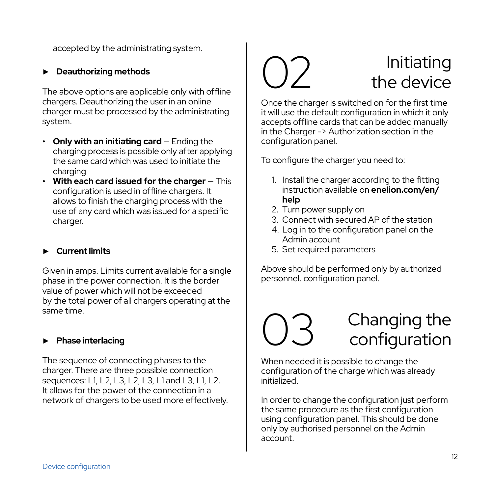accepted by the administrating system.

#### ► **Deauthorizing methods**

The above options are applicable only with offline chargers. Deauthorizing the user in an online charger must be processed by the administrating system.

- **• Only with an initiating card**  Ending the charging process is possible only after applying the same card which was used to initiate the charging
- **• With each card issued for the charger** This configuration is used in offline chargers. It allows to finish the charging process with the use of any card which was issued for a specific charger.

#### ► **Current limits**

Given in amps. Limits current available for a single phase in the power connection. It is the border value of power which will not be exceeded by the total power of all chargers operating at the same time.

#### ► **Phase interlacing**

The sequence of connecting phases to the charger. There are three possible connection sequences: L1, L2, L3, L2, L3, L1 and L3, L1, L2. It allows for the power of the connection in a network of chargers to be used more effectively.

#### 02 Initiating the device

Once the charger is switched on for the first time it will use the default configuration in which it only accepts offline cards that can be added manually in the Charger -> Authorization section in the configuration panel.

To configure the charger you need to:

- 1. Install the charger according to the fitting instruction available on **enelion.com/en/ help**
- 2. Turn power supply on
- 3. Connect with secured AP of the station
- 4. Log in to the configuration panel on the Admin account
- 5. Set required parameters

Above should be performed only by authorized personnel. configuration panel.



When needed it is possible to change the configuration of the charge which was already initialized.

In order to change the configuration just perform the same procedure as the first configuration using configuration panel. This should be done only by authorised personnel on the Admin account.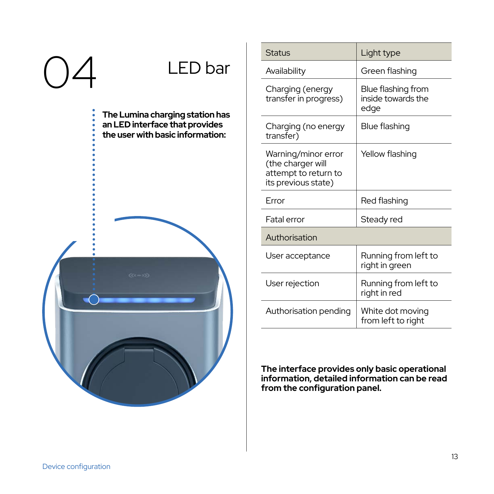# LED bar

**The Lumina charging station has an LED interface that provides the user with basic information:**



| <b>Status</b>                                                                           | Light type                                       |
|-----------------------------------------------------------------------------------------|--------------------------------------------------|
| Availability                                                                            | Green flashing                                   |
| Charging (energy<br>transfer in progress)                                               | Blue flashing from<br>inside towards the<br>edae |
| Charging (no energy<br>transfer)                                                        | Blue flashing                                    |
| Warning/minor error<br>(the charger will<br>attempt to return to<br>its previous state) | Yellow flashing                                  |
| Error                                                                                   | Red flashing                                     |
| Fatal error                                                                             | Steady red                                       |
| Authorisation                                                                           |                                                  |
| User acceptance                                                                         | Running from left to<br>right in green           |
| User rejection                                                                          | Running from left to<br>right in red             |
| Authorisation pending                                                                   | White dot moving<br>from left to right           |

**The interface provides only basic operational information, detailed information can be read from the configuration panel.**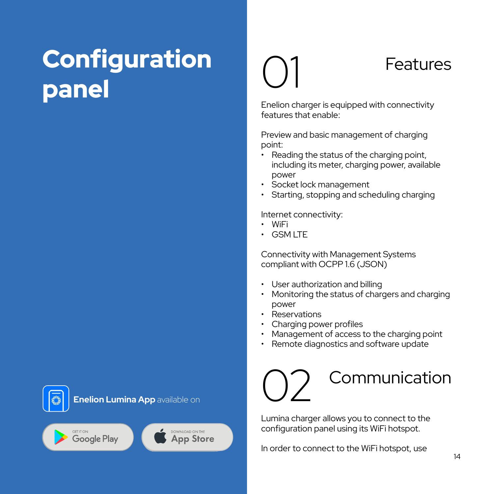### **Configuration** panel

### **Features**

Enelion charger is equipped with connectivity features that enable:

Preview and basic management of charging point:

- Reading the status of the charging point, including its meter, charging power, available power
- Socket lock management
- Starting, stopping and scheduling charging

Internet connectivity:

- WiFi
- GSMITF

01

Connectivity with Management Systems compliant with OCPP 1.6 (JSON)

- User authorization and billing
- Monitoring the status of chargers and charging power
- Reservations
- Charging power profiles
- Management of access to the charging point
- Remote diagnostics and software update

### Communication 02

Lumina charger allows you to connect to the configuration panel using its WiFi hotspot.

In order to connect to the WiFi hotspot, use

Google Play

DOWNLOAD ON THE **App Store**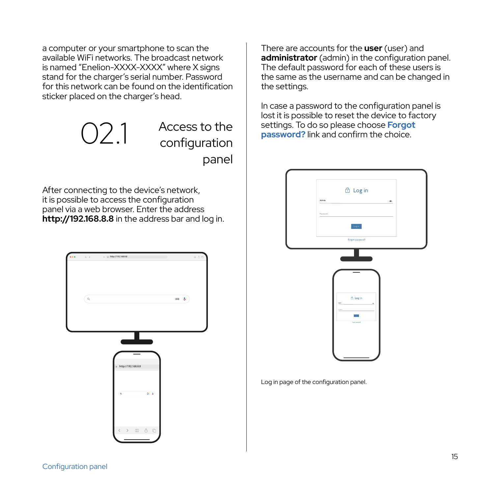a computer or your smartphone to scan the available WiFi networks. The broadcast network is named "Enelion-XXXX-XXXX" where X signs stand for the charger's serial number. Password for this network can be found on the identification sticker placed on the charger's head.

> O2.1 Access to the<br>configuration panel

After connecting to the device's network, it is possible to access the configuration panel via a web browser. Enter the address **http://192.168.8.8** in the address bar and log in.

|     | $(1, 1)$ $(2, 1)$ $(3, 1)$ $(4, 1)$ $(5, 1)$ $(6, 1)$ $(7, 1)$ | mán   |
|-----|----------------------------------------------------------------|-------|
| ∫e, |                                                                | $= 1$ |
|     |                                                                |       |
|     |                                                                |       |
|     | http://192.168.8.8                                             |       |
|     | $\mathbf{q}$<br>$8 - 4$                                        |       |
|     | $\langle \quad \rangle$<br>$\rm{m}$<br>ů.<br>ō                 |       |
|     |                                                                |       |

There are accounts for the **user** (user) and administrator (admin) in the configuration panel. The default password for each of these users is the same as the username and can be changed in the settings.

In case a password to the configuration panel is lost it is possible to reset the device to factory settings. To do so please choose **Forgot password?** link and confirm the choice.



Log in page of the configuration panel.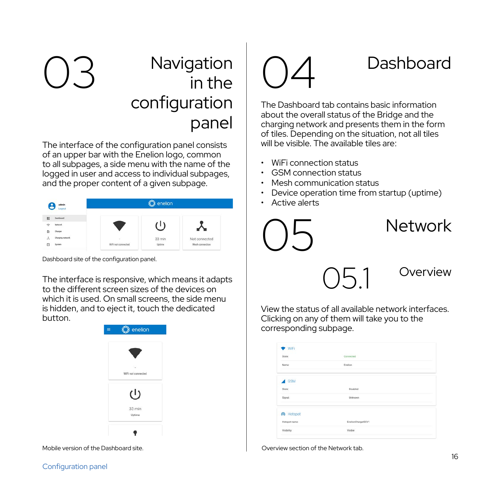### O3 Navigation 04 in the configuration panel

The interface of the configuration panel consists of an upper bar with the Enelion logo, common to all subpages, a side menu with the name of the logged in user and access to individual subpages, and the proper content of a given subpage.

| edmän<br>Logout         |                   | enelion          |                 |
|-------------------------|-------------------|------------------|-----------------|
| ti.<br><b>Dashboard</b> |                   |                  |                 |
| ÷<br>Network.           |                   |                  |                 |
| Charger<br>ö.           |                   |                  |                 |
| ٨<br>Charains natural   | ٠                 | $33 \text{ min}$ | Not connected   |
| $\circ$<br>System       | WFI not connected | Uptime           | Mesh connection |

Dashboard site of the configuration panel.

The interface is responsive, which means it adapts to the different screen sizes of the devices on which it is used. On small screens, the side menu is hidden, and to eject it, touch the dedicated button.





The Dashboard tab contains basic information about the overall status of the Bridge and the charging network and presents them in the form of tiles. Depending on the situation, not all tiles will be visible. The available tiles are:

- WiFi connection status
- GSM connection status
- Mesh communication status
- Device operation time from startup (uptime)
- Active alerts



View the status of all available network interfaces. Clicking on any of them will take you to the corresponding subpage.

| State:            | Connected        |
|-------------------|------------------|
|                   |                  |
| Name:             | Enelion          |
| <b>4</b> GSM      |                  |
|                   |                  |
| State:            | Disabled         |
| Signat            | Unknown          |
| @ Hotspot         |                  |
| Hotspot name:     | EnelonCharge@EV1 |
| <b>Visibility</b> | Visitre          |

Mobile version of the Dashboard site. Overview section of the Network tab.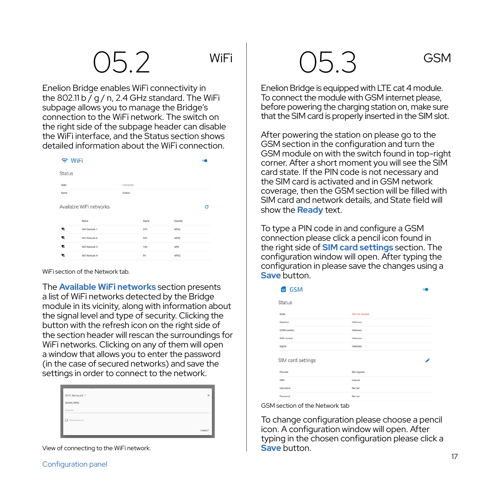Enelion Bridge enables WiFi connectivity in the 802.11 b  $\bar{$  g / n, 2.4 GHz standard. The WiFi subpage allows you to manage the Bridge's connection to the WiFi network. The switch on the right side of the subpage header can disable the WiFi interface, and the Status section shows detailed information about the WiFi connection.

| Wif |  |
|-----|--|
|     |  |
|     |  |
|     |  |

| Status   |                         |           |        |            |   |
|----------|-------------------------|-----------|--------|------------|---|
| State:   |                         | Connected |        |            |   |
| Name:    |                         | English   |        |            |   |
|          |                         |           |        |            |   |
|          | Available WiFi networks |           |        |            | e |
|          | Name:                   |           | Signal | Security   |   |
| ۰        | WEINHARE 1              |           | 27%    | WPA2       |   |
|          | WEINHAGE 2              |           | 20%    | WPA2       |   |
| v.<br>v. | WiFi Nietwork 3         |           | 14%    | <b>WPS</b> |   |

WiFi section of the Network tab.

The **Available WiFi networks** section presents a list of WiFi networks detected by the Bridge module in its vicinity, along with information about the signal level and type of security. Clicking the button with the refresh icon on the right side of the section header will rescan the surroundings for WiFi networks. Clicking on any of them will open a window that allows you to enter the password (in the case of secured networks) and save the settings in order to connect to the network.

| WFi Network 1<br>Security WFA2 | $\times$ |
|--------------------------------|----------|
| Peanned<br>TI stevament        | cowert   |

View of connecting to the WiFi network.

Enelion Bridge is equipped with LTE cat 4 module. To connect the module with GSM internet please, before powering the charging station on, make sure that the SIM card is properly inserted in the SIM slot.

After powering the station on please go to the GSM section in the configuration and turn the GSM module on with the switch found in top-right corner. After a short moment you will see the SIM card state. If the PIN code is not necessary and the SIM card is activated and in GSM network coverage, then the GSM section will be filled with SIM card and network details, and State field will show the **Ready** text.

To type a PIN code in and configure a GSM connection please click a pencil icon found in the right side of **SIM card settings** section. The configuration window will open. After typing the configuration in please save the changes using a **Save** button.

| <b>BB</b> GSM        |                     |  |
|----------------------|---------------------|--|
| Status               |                     |  |
| State:               | Sim and inserted    |  |
| <b>Onastativi</b>    | Lidenson            |  |
| <b>ICCID</b> number: | Unknown             |  |
| MSI number:          | Urknown             |  |
| Signalt              | Linknown            |  |
| SIM card settings    |                     |  |
| Pinnede              | <b>Net required</b> |  |
| <b>MW</b>            | internet            |  |
| Usemane:             | Not set             |  |
| Password             | Not set             |  |

GSM section of the Network tab

To change configuration please choose a pencil icon. A configuration window will open. After typing in the chosen configuration please click a **Save** button.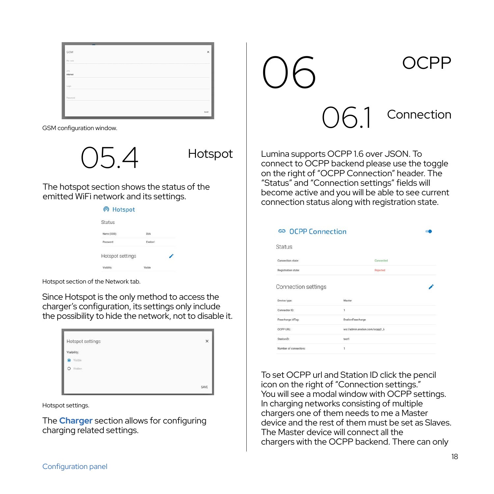| GSM             |  | $\times$ |
|-----------------|--|----------|
| Pin code        |  |          |
| ans<br>Internet |  |          |
| Logic           |  |          |
| Personnel       |  |          |
|                 |  |          |
|                 |  | Mill     |

GSM configuration window.

05.4

Hotspot

The hotspot section shows the status of the emitted WiFi network and its settings.

| Pola    |  |
|---------|--|
| English |  |
|         |  |
| Meihla  |  |
|         |  |

Hotspot section of the Network tab.

Since Hotspot is the only method to access the charger's configuration, its settings only include the possibility to hide the network, not to disable it.

| Hotspot settings<br>Visibility. | $\times$ |
|---------------------------------|----------|
| @ Visible<br>O Hidden           |          |
|                                 | SAVE     |

Hotspot settings.

The **Charger** section allows for configuring charging related settings.

06.1 Connection 06 OCPP

Lumina supports OCPP 1.6 over JSON. To connect to OCPP backend please use the toggle on the right of "OCPP Connection" header. The "Status" and "Connection settings" fields will become active and you will be able to see current connection status along with registration state.

| ⊕ OCPP Connection     |                                |  |
|-----------------------|--------------------------------|--|
| <b>Status</b>         |                                |  |
| Connection state:     | Connected                      |  |
| Registration state:   | Rejected                       |  |
| Connection settings   |                                |  |
| Device type:          | Master                         |  |
| Connector ID:         | ï                              |  |
| Freecharge idTag:     | EnelionFreecharge              |  |
| OCPP LIBI-            | ws://admin.enelion.com/occoil6 |  |
| Stationify            | test1                          |  |
| Number of connectors: | ï                              |  |

To set OCPP url and Station ID click the pencil icon on the right of "Connection settings." You will see a modal window with OCPP settings. In charging networks consisting of multiple chargers one of them needs to me a Master device and the rest of them must be set as Slaves. The Master device will connect all the chargers with the OCPP backend. There can only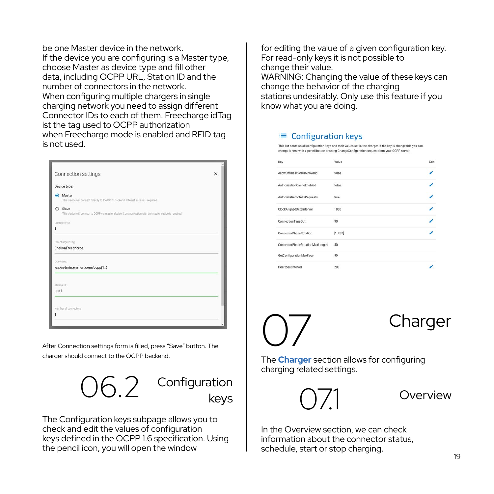be one Master device in the network. If the device you are configuring is a Master type, choose Master as device type and fill other data, including OCPP URL, Station ID and the number of connectors in the network. When configuring multiple chargers in single charging network you need to assign different Connector IDs to each of them. Freecharge idTag ist the tag used to OCPP authorization when Freecharge mode is enabled and RFID tag is not used.

|                                  | Connection settings                                                                                                | $\times$ |
|----------------------------------|--------------------------------------------------------------------------------------------------------------------|----------|
|                                  | Device type:                                                                                                       |          |
|                                  | C Master<br>This device will connect directly to the OCPP backend, Internet access is required.                    |          |
|                                  | $O$ Slave<br>This device will connect to OCPP via master device. Communication with the master device is required. |          |
|                                  | <b>CYVINANY ID</b>                                                                                                 |          |
| 1                                |                                                                                                                    |          |
|                                  | Freecharge idTag<br>EnelionFreecharge                                                                              |          |
|                                  | ws://admin.enelion.com/ocppj1_6                                                                                    |          |
|                                  |                                                                                                                    |          |
| OCPP LIRE<br>Station ID<br>test1 |                                                                                                                    |          |
|                                  |                                                                                                                    |          |
|                                  | Number of connectors                                                                                               |          |

After Connection settings form is filled, press "Save" button. The charger should connect to the OCPP backend.



Configuration keys

The Configuration keys subpage allows you to check and edit the values of configuration keys defined in the OCPP 1.6 specification. Using the pencil icon, you will open the window

for editing the value of a given configuration key. For read-only keys it is not possible to change their value. WARNING: Changing the value of these keys can change the behavior of the charging stations undesirably. Only use this feature if you know what you are doing.

#### E Configuration keys

.<br>This list contains all configuration keys and their values set in the charger. If the key is changeable you can hange it here with a pencil button or using ChangeConfiguration request from your OCPP server

| Key                             | Value   | Fdit |
|---------------------------------|---------|------|
| AllowOfflineTxForUnknownId      | false   |      |
| AuthorizationCacheEnabled       | folse   |      |
| AuthorizeRemoteTxRequests       | true    |      |
| ClockAlignedDataInterval        | 1800    |      |
| ConnectionTimeOut               | 30      |      |
| ConnectorPhaseRotation          | [1.8ST] |      |
| ConnectorPhaseRotationMaxLength | 50      |      |
| GetConfigurationMaxKeys         | sn      |      |
| HeartbeatInterval               | 200     |      |

The **Charger** section allows for configuring charging related settings. 07 Charger



**Overview** 

In the Overview section, we can check information about the connector status, schedule, start or stop charging.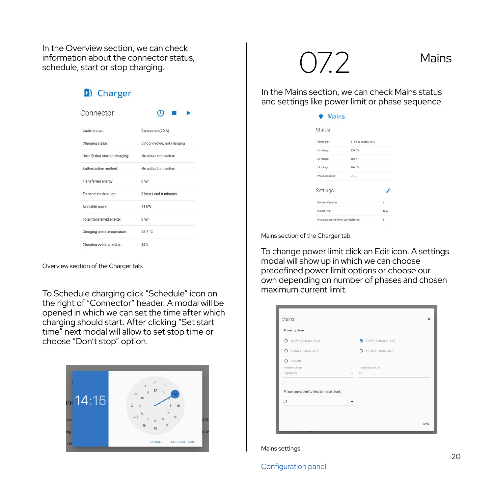In the Overview section, we can check information about the connector status, schedule, start or stop charging.

| <b>A</b> Charger               |                            |
|--------------------------------|----------------------------|
| Connector                      | ര                          |
| Cable status:                  | Connected (20 A)           |
| Charging status:               | EV connected, not charging |
| User ID that started charging: | No active transaction      |
| Authorization method:          | No active transaction      |
| Transferred energy:            | 0 Wh                       |
| Transaction duration:          | 0 hours and 0 minutes      |
| Available power:               | 11 kW                      |
| Total transferred energy:      | 0 Wh                       |
| Charging point temperature:    | 23.7 °C                    |
| Charging point humidity:       | 26%                        |

Overview section of the Charger tab.

To Schedule charging click "Schedule" icon on the right of "Connector" header. A modal will be opened in which we can set the time after which charging should start. After clicking "Set start time" next modal will allow to set stop time or choose "Don't stop" option.



 $072$  Mains

In the Mains section, we can check Mains status and settings like power limit or phase sequence.

| <b>Mains</b>                             |                        |               |
|------------------------------------------|------------------------|---------------|
| Status                                   |                        |               |
| Power limit:                             | 11 kW (3 phases, 16 A) |               |
| L1 voltage:                              | 229.7V                 |               |
| 12 voltage:                              | 106 V                  |               |
| L3 voltage:                              | 106 2 V                |               |
| Phase sequence:                          | Dec.                   |               |
| Settings                                 |                        |               |
| Number of phases:                        |                        | $\mathcal{R}$ |
| Current limit                            |                        | 16 A          |
| Phase connected to first terminal block: |                        | ł.            |

Mains section of the Charger tab.

To change power limit click an Edit icon. A settings modal will show up in which we can choose predefined power limit options or choose our own depending on number of phases and chosen maximum current limit.

|        | 3 11 kW (3 phases, 16 A) |  |
|--------|--------------------------|--|
|        | C 3.7 kW (1 phase, 16 A) |  |
|        |                          |  |
|        | Ampressor limit (A)      |  |
| $\tau$ | 16                       |  |
|        |                          |  |
|        |                          |  |
|        |                          |  |

Mains settings.

#### Configuration panel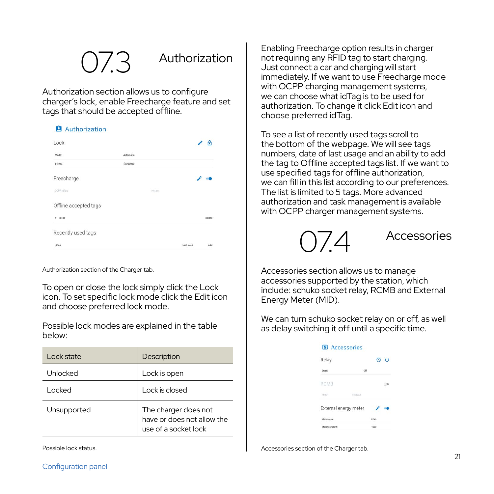#### **Authorization**

Authorization section allows us to configure charger's lock, enable Freecharge feature and set tags that should be accepted offline.

| <b>Authorization</b> |  |  |
|----------------------|--|--|
|                      |  |  |

| Lock                  |           |           | A      |
|-----------------------|-----------|-----------|--------|
| Mode:                 | Automatic |           |        |
| Status:               | @Opened   |           |        |
| Freecharge            |           | , .       |        |
| OCPP idTag:           | Not or    |           |        |
| Offline accepted tags |           |           |        |
| idTag<br>r            |           |           | Delete |
| Recently used tags    |           |           |        |
| <b>WTes</b>           |           | Last used | Add    |

Authorization section of the Charger tab.

To open or close the lock simply click the Lock icon. To set specific lock mode click the Edit icon and choose preferred lock mode.

Possible lock modes are explained in the table below:

| Lock state      | Description                                                                |
|-----------------|----------------------------------------------------------------------------|
| <b>Unlocked</b> | Lock is open                                                               |
| l ocked         | Lock is closed                                                             |
| Unsupported     | The charger does not<br>have or does not allow the<br>use of a socket lock |

Enabling Freecharge option results in charger not requiring any RFID tag to start charging. Just connect a car and charging will start immediately. If we want to use Freecharge mode with OCPP charging management systems. we can choose what idTag is to be used for authorization. To change it click Edit icon and choose preferred idTag.

To see a list of recently used tags scroll to the bottom of the webpage. We will see tags numbers, date of last usage and an ability to add the tag to Offline accepted tags list. If we want to use specified tags for offline authorization, we can fill in this list according to our preferences. The list is limited to 5 tags. More advanced authorization and task management is available with OCPP charger management systems.



**Accessories** 

Accessories section allows us to manage accessories supported by the station, which include: schuko socket relay, RCMB and External Energy Meter (MID).

We can turn schuko socket relay on or off, as well as delay switching it off until a specific time.

| <b>EB</b> Accessories |         |
|-----------------------|---------|
| Relay                 | $O$ $O$ |
| State:                |         |
| <b>RCMB</b>           |         |
|                       |         |
| External energy meter |         |
| Matter solos          |         |
| Matar constant:       | 1000    |

Accessories section of the Charger tab.

Possible lock status.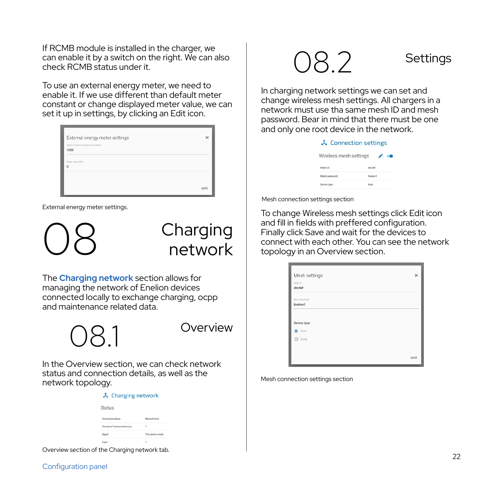If RCMB module is installed in the charger, we can enable it by a switch on the right. We can also check RCMB status under it.

To use an external energy meter, we need to enable it. If we use different than default meter constant or change displayed meter value, we can set it up in settings, by clicking an Edit icon.

| External energy meter settings<br>Meter constant (impulses per kWh)<br>1000 | $\times$ |
|-----------------------------------------------------------------------------|----------|
| Meter value (Wh)<br>$\Omega$                                                |          |
|                                                                             | SIVE     |

External energy meter settings.

Charging network

The **Charging network** section allows for managing the network of Enelion devices connected locally to exchange charging, ocpp and maintenance related data.



In the Overview section, we can check network status and connection details, as well as the network topology.

| $\lambda$ Charging network        |                    |  |
|-----------------------------------|--------------------|--|
| <b>Status</b>                     |                    |  |
| Connection status:                | Network host       |  |
| Number of connected devices:<br>. | ×.                 |  |
| Spyal                             | This device is not |  |
| Lange                             | ٠                  |  |
|                                   |                    |  |

Overview section of the Charging network tab.

### O8.2 Settings

In charging network settings we can set and change wireless mesh settings. All chargers in a network must use tha same mesh ID and mesh password. Bear in mind that there must be one and only one root device in the network.

|                        | 入 Connection settings |
|------------------------|-----------------------|
| Wireless mesh settings |                       |
| Mesh ID                |                       |
| Mesh password:         | English               |
| <b>USA hana</b>        |                       |

Mesh connection settings section

To change Wireless mesh settings click Edit icon and fill in fields with preffered configuration. Finally click Save and wait for the devices to connect with each other. You can see the network topology in an Overview section.

| Mesh settings          | $\times$ |
|------------------------|----------|
| Mesh D                 |          |
| abcdef                 |          |
| Meth password          |          |
| Enelion1               |          |
|                        |          |
| Device type:<br>@ Root |          |
| O Note                 |          |
|                        |          |

Mesh connection settings section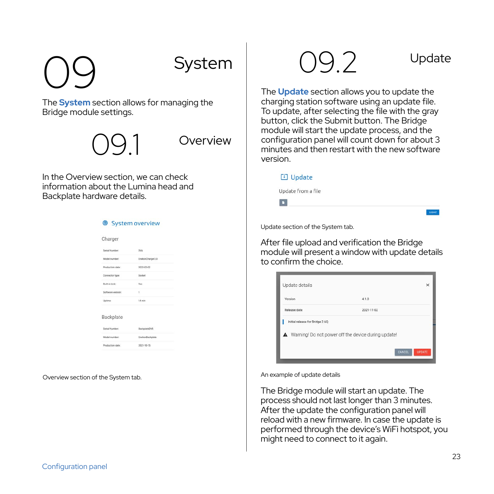# 09 System

The **System** section allows for managing the Bridge module settings.

**Overview** 

In the Overview section, we can check information about the Lumina head and Backplate hardware details.

**C** Continued in constant

| Charger                |                  |
|------------------------|------------------|
| Serial Number:         | <b>DVA</b>       |
| Model sumber:          | EnelonCharger3.0 |
| Production date:       | 2022-02-02       |
| Connector type:        | Socket           |
| <b>Built-in Incic.</b> | Ves.             |
| Software version:      | ×                |
| Uptime:                | 14 min           |
| Backplate              |                  |
| Serial Number:         | Recksteb10VS     |
| Model sumber           | EnelianBackplate |
| Production date:       | 2021-10-15       |

Overview section of the System tab.

 $92$  Update

The **Update** section allows you to update the charging station software using an update file. To update, after selecting the file with the gray button, click the Submit button. The Bridge module will start the update process, and the configuration panel will count down for about 3 minutes and then restart with the new software version.

| [4] Update         |        |
|--------------------|--------|
| Update from a file |        |
| o                  |        |
|                    | SUBMIT |

Update section of the System tab.

After file upload and verification the Bridge module will present a window with update details to confirm the choice.



An example of update details

The Bridge module will start an update. The process should not last longer than 3 minutes. After the update the configuration panel will reload with a new firmware. In case the update is performed through the device's WiFi hotspot, you might need to connect to it again.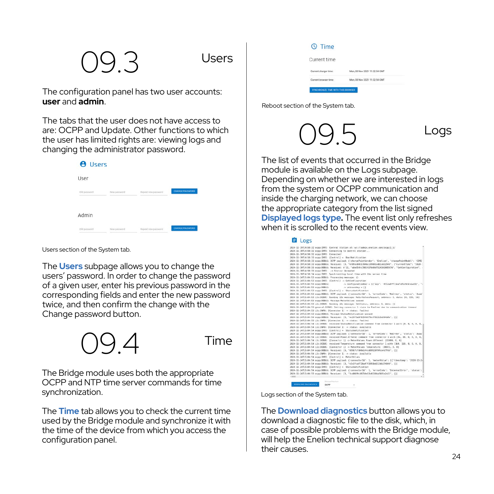### $9.3$  Users

The configuration panel has two user accounts: **user** and **admin**.

The tabs that the user does not have access to are: OCPP and Update. Other functions to which the user has limited rights are: viewing logs and changing the administrator password.

| <b>8</b> Users |              |                     |                 |
|----------------|--------------|---------------------|-----------------|
| User           |              |                     |                 |
| Old password   | New password | Repeat new password | CHANGE PASSWORD |
| Admin          |              |                     |                 |
| Old password   | New password | Repeat new password | CHANGE PASSWORD |

Users section of the System tab.

The **Users** subpage allows you to change the users' password. In order to change the password of a given user, enter his previous password in the corresponding fields and enter the new password twice, and then confirm the change with the Change password button.



The Bridge module uses both the appropriate OCPP and NTP time server commands for time synchronization.

The **Time** tab allows you to check the current time used by the Bridge module and synchronize it with the time of the device from which you access the configuration panel.

| Current time          |                               |
|-----------------------|-------------------------------|
| Current charger time: | Mon, 08 Nov 2021 11:32:54 GMT |
| Current between time: | Mon, 08 Nov 2021 11:32:54 GMT |

Reboot section of the System tab.

### 09.5 Logs

The list of events that occurred in the Bridge module is available on the Logs subpage. Depending on whether we are interested in logs from the system or OCPP communication and inside the charging network, we can choose the appropriate category from the list signed **Displayed logs type.** The event list only refreshes when it is scrolled to the recent events view

|                                                        | 2820-11-19714:58:32 orga:IMFO: Control station at: ws://admin.cnolian.com/orga:1 8/                         |
|--------------------------------------------------------|-------------------------------------------------------------------------------------------------------------|
|                                                        | 2009-11-19T14:58:32 ocpo:INFO: Connecting to central station                                                |
| 2020-11-19T14:58:32 acpo:IMFO: Connected?              |                                                                                                             |
|                                                        | 2020-11-19T14-58-33 erge:INFO: [Central] <- BootSotification                                                |
|                                                        | 2020-11-19714:50:33 ermocREBUG: DCPP payload: ('chorpePeintWender': 'Enelige', 'chargePointRodel': 'CCRE    |
|                                                        | 2829-11-29T14:58:33-ecse:DEBUG: Received: [3, "678feo8431784be199881ceBlo822949", ["carrentTine": "2020-1   |
|                                                        | 2020-11-19714:56:33.orgp:008UG: Received: b'12, "ade8544c708342fb88d7524192085676", "GetConfiguration", -   |
| 2020-11-19T14:50:33 orga:IMFO: -> Status: Accepted     |                                                                                                             |
|                                                        | 2020-11-29T14:58:34 orga:IMFO: Synchronizing Local time with the server time                                |
| 2020-11-24T15:04:53 ocpo:DEBUG: Processing message: {} |                                                                                                             |
|                                                        | 2020-11-J4T15:04:52 ocpo:INFO: (Central) -> EntConfiguration                                                |
| 2020-11-24715-01-53 0CE0/DERUG-                        | > configurationEgy = If '60V': 'AllowOTFLiesTxForEHKnowAdd',                                                |
| 2020-11-24T15-04-53 economics                          | the understanding in 13                                                                                     |
|                                                        | 2020-11-24T11-04-51 area-IMO : [Central1 » . Matusfiel (Firation)                                           |
|                                                        | 2020-11-24T15:04:53 organSEBUG; DEPP payload: {'connecter]d': 1, 'errerCode': 'NaErrer', 'status': 'AvaS'   |
|                                                        | 2820-11-24TIS:04:53 L2c:DIBUG: Sceding 12c message: MeterValucsRoquest, oddross: 3, data: 10, 128, 361      |
|                                                        | 2020-11-24T15:04:53 ocpo:DEBUG: Messace MaterWalues cuseed                                                  |
|                                                        | 2020-11-24T15:06:53 12ccDEB0: Sonding 12c message: GetStatus, address: 1, data: fi                          |
|                                                        | 2820-15-24715:00:53 general:DERMS: Setting connector 1 state to Faulted due to communication timeout        |
|                                                        | 2020-11-24T15:04:53 12v:INFO: fConnector 11 -> status: Faultec                                              |
|                                                        | 2020-11-24T15:04:53 erpp:DEBUG: Message StatusNotLf1cation gueued                                           |
|                                                        | 2020-11-24TI5:04:54 erpp:DEBUG: Recezues: [3, "ec2418a9581546073c4782263a5349a", [3]                        |
|                                                        | 2020-11-24715:04:53 L2c:IMPO: [Connector 1] -> states: Faulted                                              |
|                                                        | 2820-11-24T15:04:54 (2c:DEBUG: received StatesNot(fication command from connector 1 with (0, 0, 0, 0, 0, 0, |
|                                                        | 2020-11-24T15:04:54 12c:IMFB: (Connector 1) -> status: Augiloble                                            |
|                                                        | 2020-11-24T1S:04:54 orgo:INFO: (Central) <- StatusNetification                                              |
|                                                        | 2020-11-JHT15:00:54 ocaps:DEBUG: OCPP payCoad: ("connocterId": 1, "errerCodo": "MoErrer", "status": "Ayad"  |
|                                                        | 2020-11-38715:00:54 Lit:DIROS: rocatived Power.Offered comment from connector 1 with 164, 86, 8, 8, 8, 8,   |
|                                                        | 2820-11-24T15-04-54 Liv-OFRID: EConomy-Tor 11 -> MeterValues Power-Offered: 122008. 0. 01                   |
|                                                        | 2020-11-24T15-04-54 (2v-OTES): received Temperature command from concertor 1 with [164, 116, 0, 0, 0, 0, 0, |
|                                                        | 2820-11-24T15:04:54 L2c:DEBUG: [Connector 1] -> MeterValues Tomperature: [30372, 0, 0]                      |
|                                                        | 2820-11-24T15:04:54 otpp:00BUG: Received: [3, 'b591fcfdB8o144cdB932Bf9fcn4s7fd9', [1]                       |
|                                                        | 2020-11-24T15:04:54 :2c:IMFO: (Connector 1) -> status: Available                                            |
|                                                        | 2000-11-24T15:04:54 orgo:IMFO: [Central] <- MeterValues                                                     |
|                                                        | 2020-11-JATIS:04:54 acpo:DEBUG: OCPP payload: {'connectorId': 1, 'neterValue': [{'timestamp': '2020-11-2}   |
|                                                        | 2020-11-24T15:04:54 erge(DEBUG) Received: (3, "e3c01caf72ba471393b4313db374868", (1)                        |
|                                                        | 2828-11-24T15:00:54 erge:INFO: (Central) <- Statusbattfication                                              |
|                                                        | 2020-11-24T15:04:54 orgo:DEBUG: OCPP payload: ('connecterId': 1, 'errerCode': 'InternalError', 'status':    |
| 2.5000                                                 | 2020-11-24T15:04:55 orga:008UG: Received: [3, "Scd4609:88754e13)65334e3605e2e21", [3]                       |

Logs section of the System tab.

The **Download diagnostics** button allows you to download a diagnostic file to the disk, which, in case of possible problems with the Bridge module, will help the Enelion technical support diagnose their causes. 24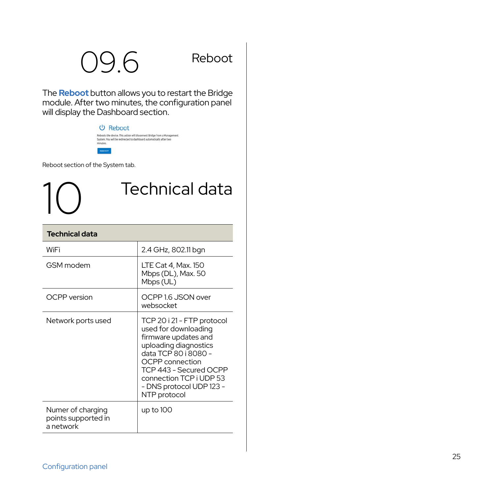### 09.6 Reboot

The **Reboot** button allows you to restart the Bridge module. After two minutes, the configuration panel will display the Dashboard section.

1<sup>0</sup> Technical data

#### **少 Reboot** :<br>Reboots the device. This action will disconnect Bridge from a Management<br>System. You will be redirected to dashboard automatically after two

Reboot section of the System tab.

| <b>Technical data</b>                                 |                                                                                                                                                                                                                                                        |
|-------------------------------------------------------|--------------------------------------------------------------------------------------------------------------------------------------------------------------------------------------------------------------------------------------------------------|
| WiFi                                                  | 2.4 GHz, 802.11 bgn                                                                                                                                                                                                                                    |
| GSM modem                                             | LTE Cat 4, Max. 150<br>Mbps (DL), Max. 50<br>Mbps (UL)                                                                                                                                                                                                 |
| OCPP version                                          | OCPP 1.6 JSON over<br>websocket                                                                                                                                                                                                                        |
| Network ports used                                    | TCP 20 i 21 - FTP protocol<br>used for downloading<br>firmware updates and<br>uploading diagnostics<br>data TCP 80 i 8080 -<br><b>OCPP</b> connection<br>TCP 443 - Secured OCPP<br>connection TCP i UDP 53<br>- DNS protocol UDP 123 -<br>NTP protocol |
| Numer of charging<br>points supported in<br>a network | up to 100                                                                                                                                                                                                                                              |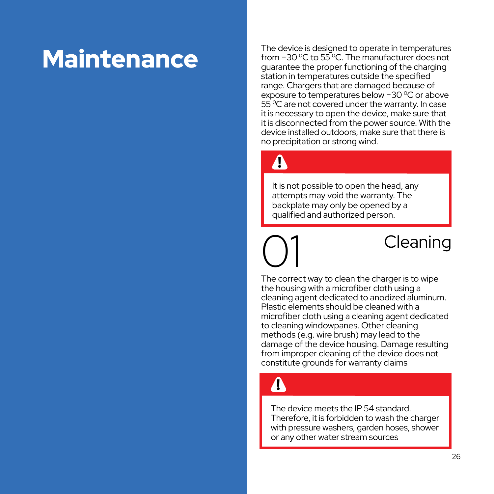### **Maintenance**

The device is designed to operate in temperatures from −30 °C to 55 °C. The manufacturer does not guarantee the proper functioning of the charging station in temperatures outside the specified range. Chargers that are damaged because of exposure to temperatures below −30 0C or above 55 0C are not covered under the warranty. In case it is necessary to open the device, make sure that it is disconnected from the power source. With the device installed outdoors, make sure that there is no precipitation or strong wind.

### $\boldsymbol{\Lambda}$

It is not possible to open the head, any attempts may void the warranty. The backplate may only be opened by a qualified and authorized person.

### Cleaning

The correct way to clean the charger is to wipe the housing with a microfiber cloth using a cleaning agent dedicated to anodized aluminum. Plastic elements should be cleaned with a microfiber cloth using a cleaning agent dedicated to cleaning windowpanes. Other cleaning methods (e.g. wire brush) may lead to the damage of the device housing. Damage resulting from improper cleaning of the device does not constitute grounds for warranty claims

### $\blacktriangle$

The device meets the IP 54 standard. Therefore, it is forbidden to wash the charger with pressure washers, garden hoses, shower or any other water stream sources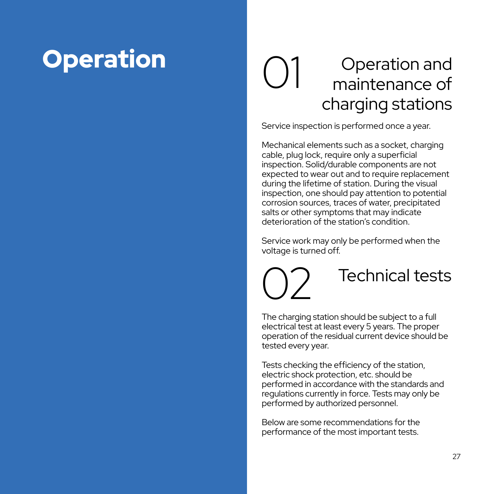#### Operation 1 Operation and maintenance of charging stations  $\binom{1}{2}$

Service inspection is performed once a year.

Mechanical elements such as a socket, charging cable, plug lock, require only a superficial inspection. Solid/durable components are not expected to wear out and to require replacement during the lifetime of station. During the visual inspection, one should pay attention to potential corrosion sources, traces of water, precipitated salts or other symptoms that may indicate deterioration of the station's condition.

Service work may only be performed when the voltage is turned off.

Technical tests 02 The charging station should be subject to a full electrical test at least every 5 years. The proper operation of the residual current device should be

Tests checking the efficiency of the station, electric shock protection, etc. should be performed in accordance with the standards and regulations currently in force. Tests may only be performed by authorized personnel.

Below are some recommendations for the performance of the most important tests.

tested every year.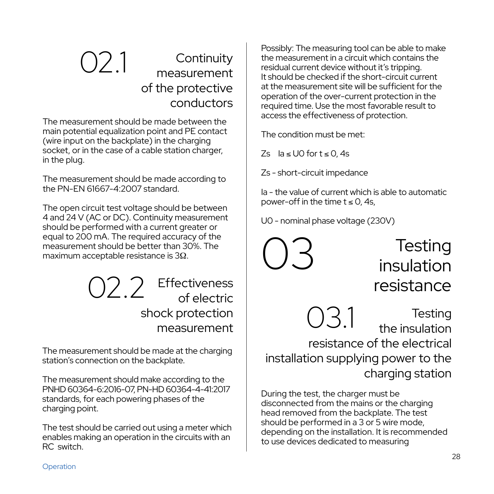#### 021 Continuity measurement of the protective conductors

The measurement should be made between the main potential equalization point and PE contact (wire input on the backplate) in the charging socket, or in the case of a cable station charger, in the plug.

The measurement should be made according to the PN-EN 61667-4:2007 standard.

The open circuit test voltage should be between 4 and 24 V (AC or DC). Continuity measurement should be performed with a current greater or equal to 200 mA. The required accuracy of the measurement should be better than 30%. The maximum acceptable resistance is 3Ω.

> 02.2 Effectiveness of electric shock protection

The measurement should be made at the charging station's connection on the backplate.

The measurement should make according to the PNHD 60364-6:2016-07, PN-HD 60364-4-41:2017 standards, for each powering phases of the charging point.

The test should be carried out using a meter which enables making an operation in the circuits with an RC switch.

Possibly: The measuring tool can be able to make the measurement in a circuit which contains the residual current device without it's tripping. It should be checked if the short-circuit current at the measurement site will be sufficient for the operation of the over-current protection in the required time. Use the most favorable result to access the effectiveness of protection.

The condition must be met:

Zs Ia ≤ U0 for t ≤ 0, 4s

Zs - short-circuit impedance

Ia - the value of current which is able to automatic power-off in the time  $t < 0$  4s

U0 - nominal phase voltage (230V)



**Testing** insulation resistance

 $\frac{1}{2}$  ock protection  $\bigcup_{\text{the insulation}}$  Testing the insulation resistance of the electrical installation supplying power to the charging station

> During the test, the charger must be disconnected from the mains or the charging head removed from the backplate. The test should be performed in a 3 or 5 wire mode, depending on the installation. It is recommended to use devices dedicated to measuring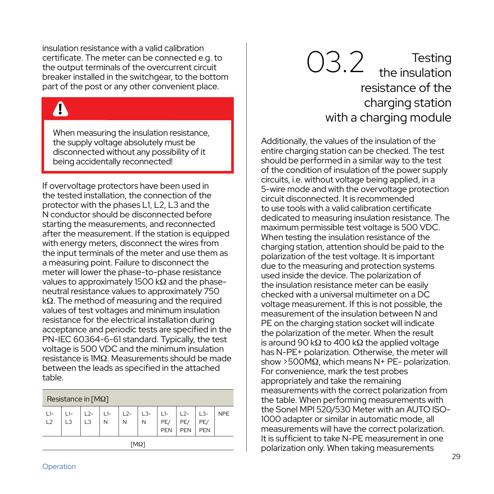insulation resistance with a valid calibration certificate. The meter can be connected e.g. to the output terminals of the overcurrent circuit breaker installed in the switchgear, to the bottom part of the post or any other convenient place.

### $\mathbf{\Lambda}$

When measuring the insulation resistance, the supply voltage absolutely must be disconnected without any possibility of it being accidentally reconnected!

If overvoltage protectors have been used in the tested installation, the connection of the protector with the phases L1, L2, L3 and the N conductor should be disconnected before starting the measurements, and reconnected after the measurement. If the station is equipped with energy meters, disconnect the wires from the input terminals of the meter and use them as a measuring point. Failure to disconnect the meter will lower the phase-to-phase resistance values to approximately 1500 kΩ and the phaseneutral resistance values to approximately 750 kΩ. The method of measuring and the required values of test voltages and minimum insulation resistance for the electrical installation during acceptance and periodic tests are specified in the PN-IEC 60364-6-61 standard. Typically, the test voltage is 500 VDC and the minimum insulation resistance is 1MΩ. Measurements should be made between the leads as specified in the attached table.

| Resistance in $[M\Omega]$ |                |                         |            |            |            |                     |                     |                     |            |
|---------------------------|----------------|-------------------------|------------|------------|------------|---------------------|---------------------|---------------------|------------|
| $L1-$<br>L2               | L <sub>3</sub> | $L2-$<br>L <sub>3</sub> | $L1-$<br>N | $L2-$<br>N | $L3-$<br>N | $11-$<br>PE/<br>PEN | $L2-$<br>PE/<br>PEN | $L3-$<br>PE/<br>PEN | <b>NPE</b> |
| $[M\Omega]$               |                |                         |            |            |            |                     |                     |                     |            |

### 03.2 Testing<br>the insulation resistance of the charging station with a charging module

Additionally, the values of the insulation of the entire charging station can be checked. The test should be performed in a similar way to the test of the condition of insulation of the power supply circuits, i.e. without voltage being applied, in a 5-wire mode and with the overvoltage protection circuit disconnected. It is recommended to use tools with a valid calibration certificate dedicated to measuring insulation resistance. The maximum permissible test voltage is 500 VDC. When testing the insulation resistance of the charging station, attention should be paid to the polarization of the test voltage. It is important due to the measuring and protection systems used inside the device. The polarization of the insulation resistance meter can be easily checked with a universal multimeter on a DC voltage measurement. If this is not possible, the measurement of the insulation between N and PE on the charging station socket will indicate the polarization of the meter. When the result is around 90 kΩ to 400 kΩ the applied voltage has N-PE+ polarization. Otherwise, the meter will show >500MΩ, which means N+ PE- polarization. For convenience, mark the test probes appropriately and take the remaining measurements with the correct polarization from the table. When performing measurements with the Sonel MPI 520/530 Meter with an AUTO ISO-1000 adapter or similar in automatic mode, all measurements will have the correct polarization. It is sufficient to take N-PE measurement in one polarization only. When taking measurements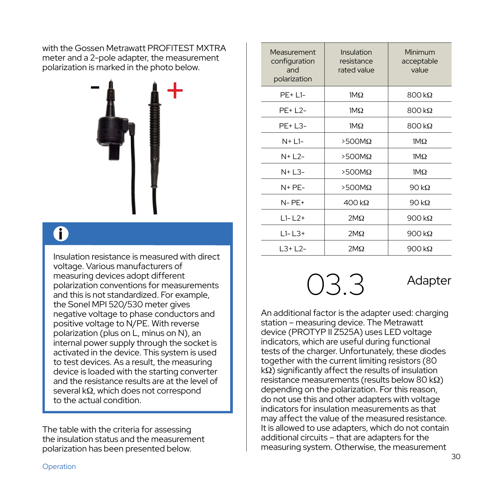with the Gossen Metrawatt PROFITEST MXTRA meter and a 2-pole adapter, the measurement polarization is marked in the photo below.



### i

Insulation resistance is measured with direct voltage. Various manufacturers of measuring devices adopt different polarization conventions for measurements and this is not standardized. For example, the Sonel MPI 520/530 meter gives negative voltage to phase conductors and positive voltage to N/PE. With reverse polarization (plus on L, minus on N), an internal power supply through the socket is activated in the device. This system is used to test devices. As a result, the measuring device is loaded with the starting converter and the resistance results are at the level of several kΩ, which does not correspond to the actual condition.

The table with the criteria for assessing the insulation status and the measurement polarization has been presented below.

| Measurement<br>configuration<br>and<br>polarization | Insulation<br>resistance<br>rated value | Minimum<br>acceptable<br>value |
|-----------------------------------------------------|-----------------------------------------|--------------------------------|
| $PF+L1-$                                            | $1M\Omega$                              | $800 \text{ k}\Omega$          |
| $PF+L2-$                                            | $1M\Omega$                              | $800 \text{ k}\Omega$          |
| PE+ L3-                                             | $1M\Omega$                              | $800 k\Omega$                  |
| $N+L1-$                                             | $>500M\Omega$                           | $1M\Omega$                     |
| $N+L$ 2-                                            | $>500M\Omega$                           | $1M\Omega$                     |
| $N+L3-$                                             | $>500M\Omega$                           | $1M\Omega$                     |
| $N + PF -$                                          | $>500M\Omega$                           | 90 $k\Omega$                   |
| $N PF+$                                             | $400 \text{ k}\Omega$                   | 90 $k\Omega$                   |
| $L1 - L2 +$                                         | $2M\Omega$                              | 900 $k\Omega$                  |
| $L1 - L3 +$                                         | $2M\Omega$                              | 900 $k\Omega$                  |
| $L3+L2-$                                            | $2M\Omega$                              | 900 $k\Omega$                  |

### 03.3 Adapter

An additional factor is the adapter used: charging station – measuring device. The Metrawatt device (PROTYP II Z525A) uses LED voltage indicators, which are useful during functional tests of the charger. Unfortunately, these diodes together with the current limiting resistors (80 kΩ) significantly affect the results of insulation resistance measurements (results below 80 kΩ) depending on the polarization. For this reason, do not use this and other adapters with voltage indicators for insulation measurements as that may affect the value of the measured resistance. It is allowed to use adapters, which do not contain additional circuits – that are adapters for the measuring system. Otherwise, the measurement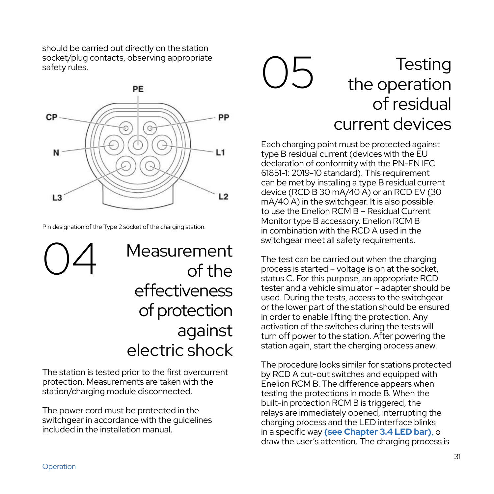should be carried out directly on the station socket/plug contacts, observing appropriate safety rules.



Pin designation of the Type 2 socket of the charging station.

Measurement of the effectiveness of protection against electric shock 04

The station is tested prior to the first overcurrent protection. Measurements are taken with the station/charging module disconnected.

The power cord must be protected in the switchgear in accordance with the quidelines included in the installation manual.

#### **Testing** the operation of residual current devices  $\big)$

Each charging point must be protected against type B residual current (devices with the EU declaration of conformity with the PN-EN IEC 61851-1: 2019-10 standard). This requirement can be met by installing a type B residual current device (RCD B 30 mA/40 A) or an RCD EV (30 mA/40 A) in the switchgear. It is also possible to use the Enelion RCM B – Residual Current Monitor type B accessory. Enelion RCM B in combination with the RCD A used in the switchgear meet all safety requirements.

The test can be carried out when the charging process is started – voltage is on at the socket, status C. For this purpose, an appropriate RCD tester and a vehicle simulator – adapter should be used. During the tests, access to the switchgear or the lower part of the station should be ensured in order to enable lifting the protection. Any activation of the switches during the tests will turn off power to the station. After powering the station again, start the charging process anew.

The procedure looks similar for stations protected by RCD A cut-out switches and equipped with Enelion RCM B. The difference appears when testing the protections in mode B. When the built-in protection RCM B is triggered, the relays are immediately opened, interrupting the charging process and the LED interface blinks in a specific way **(see Chapter 3.4 LED bar)**, o draw the user's attention. The charging process is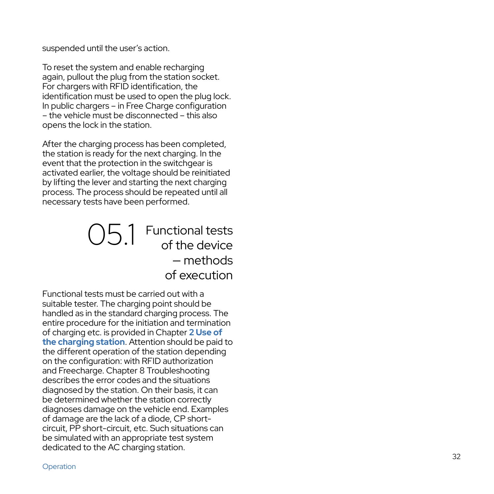suspended until the user's action.

To reset the system and enable recharging again, pullout the plug from the station socket. For chargers with RFID identification, the identification must be used to open the plug lock. In public chargers – in Free Charge configuration – the vehicle must be disconnected – this also opens the lock in the station.

After the charging process has been completed. the station is ready for the next charging. In the event that the protection in the switchgear is activated earlier, the voltage should be reinitiated by lifting the lever and starting the next charging process. The process should be repeated until all necessary tests have been performed.

#### 05.1 Functional tests of the device — methods of execution

Functional tests must be carried out with a suitable tester. The charging point should be handled as in the standard charging process. The entire procedure for the initiation and termination of charging etc. is provided in Chapter **2 Use of the charging station**. Attention should be paid to the different operation of the station depending on the configuration: with RFID authorization and Freecharge. Chapter 8 Troubleshooting describes the error codes and the situations diagnosed by the station. On their basis, it can be determined whether the station correctly diagnoses damage on the vehicle end. Examples of damage are the lack of a diode, CP shortcircuit, PP short-circuit, etc. Such situations can be simulated with an appropriate test system dedicated to the AC charging station.

Operation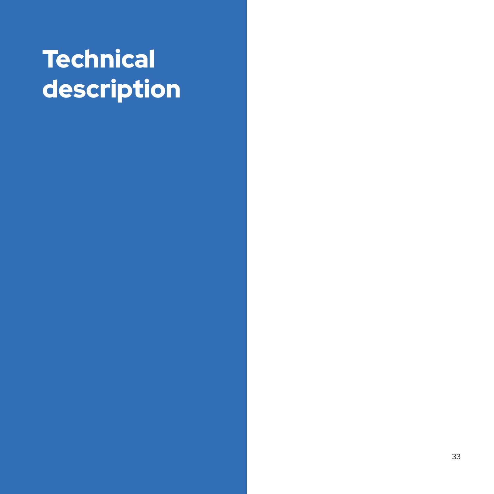### **Technical** description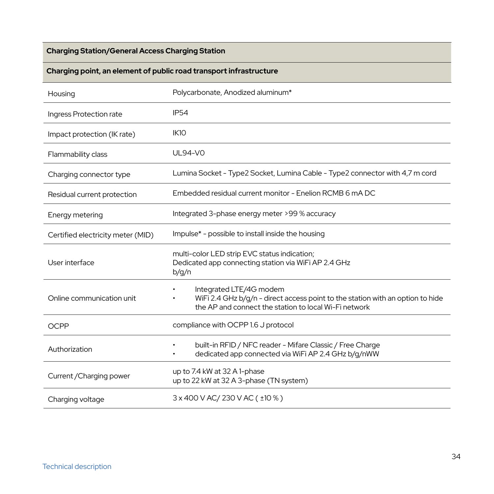#### **Charging Station/General Access Charging Station**

#### **Charging point, an element of public road transport infrastructure**

| Housing                           | Polycarbonate, Anodized aluminum*                                                                                                                                  |  |
|-----------------------------------|--------------------------------------------------------------------------------------------------------------------------------------------------------------------|--|
| Ingress Protection rate           | <b>IP54</b>                                                                                                                                                        |  |
| Impact protection (IK rate)       | IK10                                                                                                                                                               |  |
| Flammability class                | UL94-VO                                                                                                                                                            |  |
| Charging connector type           | Lumina Socket - Type2 Socket, Lumina Cable - Type2 connector with 4,7 m cord                                                                                       |  |
| Residual current protection       | Embedded residual current monitor - Enelion RCMB 6 mA DC                                                                                                           |  |
| Energy metering                   | Integrated 3-phase energy meter >99 % accuracy                                                                                                                     |  |
| Certified electricity meter (MID) | Impulse* - possible to install inside the housing                                                                                                                  |  |
| User interface                    | multi-color LED strip EVC status indication;<br>Dedicated app connecting station via WiFi AP 2.4 GHz<br>b/g/n                                                      |  |
| Online communication unit         | Integrated LTE/4G modem<br>WiFi 2.4 GHz b/q/n - direct access point to the station with an option to hide<br>the AP and connect the station to local Wi-Fi network |  |
| OCPP                              | compliance with OCPP 1.6 J protocol                                                                                                                                |  |
| Authorization                     | built-in RFID / NFC reader - Mifare Classic / Free Charge<br>dedicated app connected via WiFi AP 2.4 GHz b/q/nWW                                                   |  |
| Current / Charging power          | up to 7.4 kW at 32 A 1-phase<br>up to 22 kW at 32 A 3-phase (TN system)                                                                                            |  |
| Charging voltage                  | 3 x 400 V AC/ 230 V AC ( ±10 % )                                                                                                                                   |  |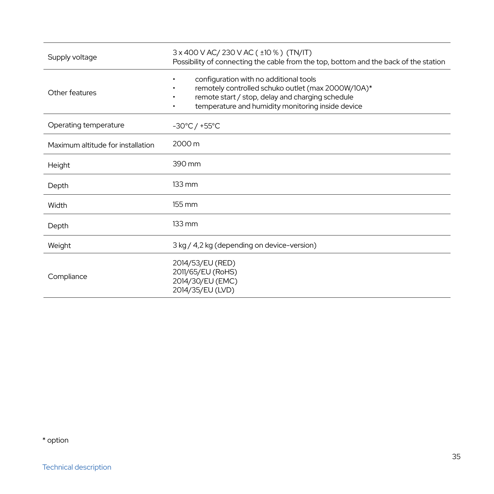| Supply voltage                    | 3 x 400 V AC/ 230 V AC ( ±10 % ) (TN/IT)<br>Possibility of connecting the cable from the top, bottom and the back of the station                                                                           |  |
|-----------------------------------|------------------------------------------------------------------------------------------------------------------------------------------------------------------------------------------------------------|--|
| Other features                    | configuration with no additional tools<br>remotely controlled schuko outlet (max 2000W/10A)*<br>remote start / stop, delay and charging schedule<br>temperature and humidity monitoring inside device<br>٠ |  |
| Operating temperature             | $-30^{\circ}$ C / +55 $^{\circ}$ C                                                                                                                                                                         |  |
| Maximum altitude for installation | 2000 m                                                                                                                                                                                                     |  |
| Height                            | 390 mm                                                                                                                                                                                                     |  |
| Depth                             | $133 \text{ mm}$                                                                                                                                                                                           |  |
| Width                             | 155 mm                                                                                                                                                                                                     |  |
| Depth                             | $133 \text{ mm}$                                                                                                                                                                                           |  |
| Weight                            | 3 kg / 4,2 kg (depending on device-version)                                                                                                                                                                |  |
| Compliance                        | 2014/53/EU (RED)<br>2011/65/EU (RoHS)<br>2014/30/EU (EMC)<br>2014/35/EU (LVD)                                                                                                                              |  |

\* option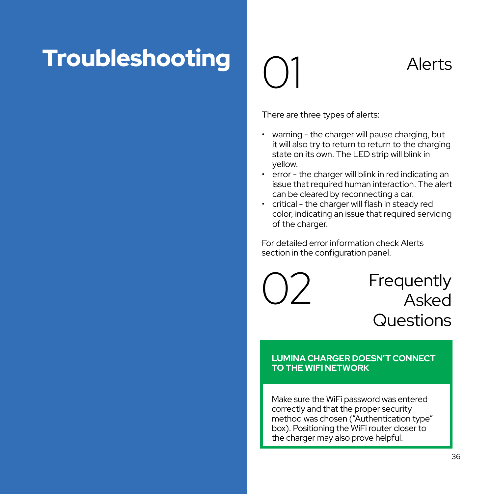### **Troubleshooting**  $\bigcap_{\text{Alerts}}$

# 01

There are three types of alerts:

- warning the charger will pause charging, but it will also try to return to return to the charging state on its own. The LED strip will blink in yellow.
- error the charger will blink in red indicating an issue that required human interaction. The alert can be cleared by reconnecting a car.
- critical the charger will flash in steady red color, indicating an issue that required servicing of the charger.

For detailed error information check Alerts section in the configuration panel.

02

Frequently Asked **Questions** 

#### **LUMINA CHARGER DOESN'T CONNECT TO THE WIFI NETWORK**

Make sure the WiFi password was entered correctly and that the proper security method was chosen ("Authentication type" box). Positioning the WiFi router closer to the charger may also prove helpful.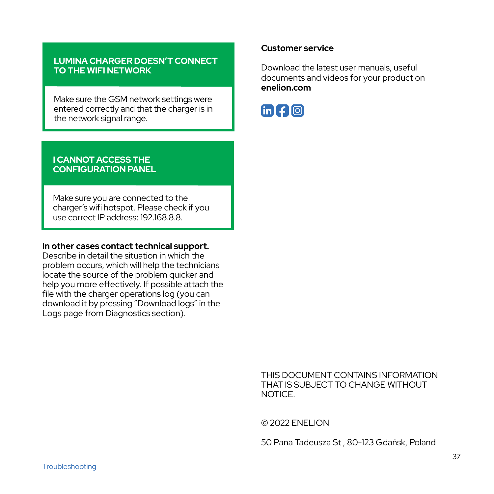#### **LUMINA CHARGER DOESN'T CONNECT TO THE WIFI NETWORK**

Make sure the GSM network settings were entered correctly and that the charger is in the network signal range.

#### **I CANNOT ACCESS THE CONFIGURATION PANEL**

Make sure you are connected to the charger's wifi hotspot. Please check if you use correct IP address: 192.168.8.8.

#### **In other cases contact technical support.**

Describe in detail the situation in which the problem occurs, which will help the technicians locate the source of the problem quicker and help you more effectively. If possible attach the file with the charger operations log (you can download it by pressing "Download logs" in the Logs page from Diagnostics section).

#### **Customer service**

Download the latest user manuals, useful documents and videos for your product on **enelion.com**



THIS DOCUMENT CONTAINS INFORMATION THAT IS SUBJECT TO CHANGE WITHOUT NOTICE.

© 2022 ENELION

50 Pana Tadeusza St , 80-123 Gdańsk, Poland